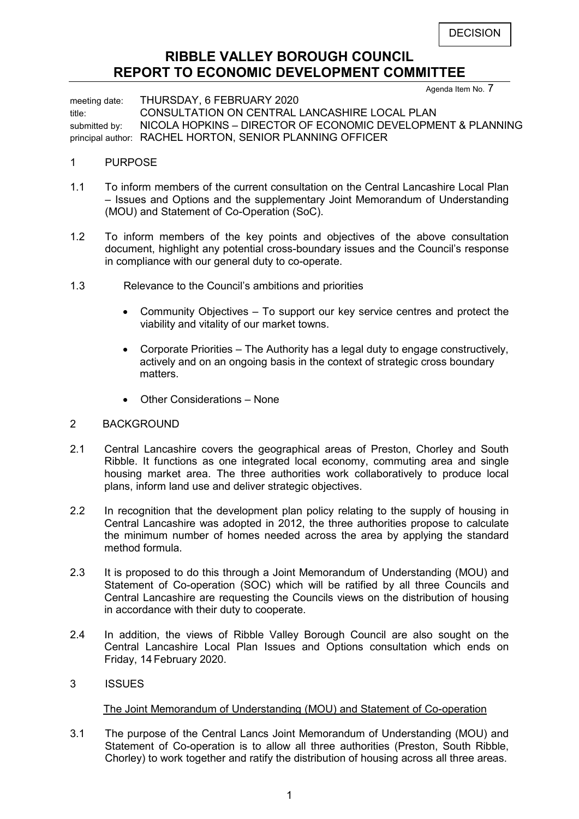### **RIBBLE VALLEY BOROUGH COUNCIL REPORT TO ECONOMIC DEVELOPMENT COMMITTEE**

Agenda Item No. 7

meeting date: THURSDAY, 6 FEBRUARY 2020 title: CONSULTATION ON CENTRAL LANCASHIRE LOCAL PLAN submitted by: NICOLA HOPKINS – DIRECTOR OF ECONOMIC DEVELOPMENT & PLANNING principal author: RACHEL HORTON, SENIOR PLANNING OFFICER

### 1 PURPOSE

- 1.1 To inform members of the current consultation on the Central Lancashire Local Plan – Issues and Options and the supplementary Joint Memorandum of Understanding (MOU) and Statement of Co-Operation (SoC).
- 1.2 To inform members of the key points and objectives of the above consultation document, highlight any potential cross-boundary issues and the Council's response in compliance with our general duty to co-operate.
- 1.3 Relevance to the Council's ambitions and priorities
	- Community Objectives To support our key service centres and protect the viability and vitality of our market towns.
	- Corporate Priorities The Authority has a legal duty to engage constructively, actively and on an ongoing basis in the context of strategic cross boundary matters.
	- Other Considerations None

### 2 BACKGROUND

- 2.1 Central Lancashire covers the geographical areas of Preston, Chorley and South Ribble. It functions as one integrated local economy, commuting area and single housing market area. The three authorities work collaboratively to produce local plans, inform land use and deliver strategic objectives.
- 2.2 In recognition that the development plan policy relating to the supply of housing in Central Lancashire was adopted in 2012, the three authorities propose to calculate the minimum number of homes needed across the area by applying the standard method formula.
- 2.3 It is proposed to do this through a Joint Memorandum of Understanding (MOU) and Statement of Co-operation (SOC) which will be ratified by all three Councils and Central Lancashire are requesting the Councils views on the distribution of housing in accordance with their duty to cooperate.
- 2.4 In addition, the views of Ribble Valley Borough Council are also sought on the Central Lancashire Local Plan Issues and Options consultation which ends on Friday, 14 February 2020.
- 3 ISSUES

### The Joint Memorandum of Understanding (MOU) and Statement of Co-operation

3.1 The purpose of the Central Lancs Joint Memorandum of Understanding (MOU) and Statement of Co-operation is to allow all three authorities (Preston, South Ribble, Chorley) to work together and ratify the distribution of housing across all three areas.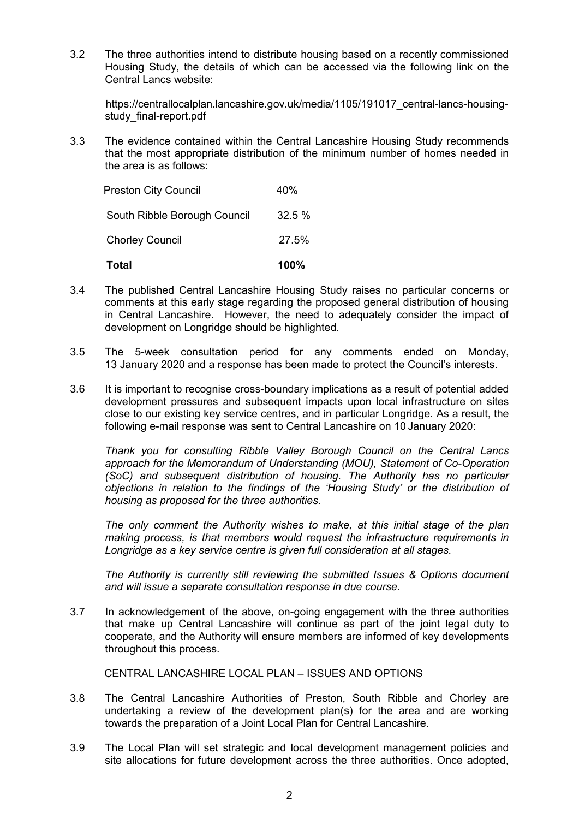3.2 The three authorities intend to distribute housing based on a recently commissioned Housing Study, the details of which can be accessed via the following link on the Central Lancs website:

[https://centrallocalplan.lancashire.gov.uk/media/1105/191017\\_central-lancs-housing](https://centrallocalplan.lancashire.gov.uk/media/1105/191017_central-lancs-housing-study_final-report.pdf)[study\\_final-report.pdf](https://centrallocalplan.lancashire.gov.uk/media/1105/191017_central-lancs-housing-study_final-report.pdf)

3.3 The evidence contained within the Central Lancashire Housing Study recommends that the most appropriate distribution of the minimum number of homes needed in the area is as follows:

| Total                        | 100%   |
|------------------------------|--------|
| <b>Chorley Council</b>       | 27.5%  |
| South Ribble Borough Council | 32.5 % |
| <b>Preston City Council</b>  | 40%    |

- 3.4 The published Central Lancashire Housing Study raises no particular concerns or comments at this early stage regarding the proposed general distribution of housing in Central Lancashire. However, the need to adequately consider the impact of development on Longridge should be highlighted.
- 3.5 The 5-week consultation period for any comments ended on Monday, 13 January 2020 and a response has been made to protect the Council's interests.
- 3.6 It is important to recognise cross-boundary implications as a result of potential added development pressures and subsequent impacts upon local infrastructure on sites close to our existing key service centres, and in particular Longridge. As a result, the following e-mail response was sent to Central Lancashire on 10 January 2020:

*Thank you for consulting Ribble Valley Borough Council on the Central Lancs approach for the Memorandum of Understanding (MOU), Statement of Co-Operation (SoC) and subsequent distribution of housing. The Authority has no particular objections in relation to the findings of the 'Housing Study' or the distribution of housing as proposed for the three authorities.*

*The only comment the Authority wishes to make, at this initial stage of the plan making process, is that members would request the infrastructure requirements in Longridge as a key service centre is given full consideration at all stages.*

*The Authority is currently still reviewing the submitted Issues & Options document and will issue a separate consultation response in due course.*

3.7 In acknowledgement of the above, on-going engagement with the three authorities that make up Central Lancashire will continue as part of the joint legal duty to cooperate, and the Authority will ensure members are informed of key developments throughout this process.

### CENTRAL LANCASHIRE LOCAL PLAN – ISSUES AND OPTIONS

- 3.8 The Central Lancashire Authorities of Preston, South Ribble and Chorley are undertaking a review of the development plan(s) for the area and are working towards the preparation of a Joint Local Plan for Central Lancashire.
- 3.9 The Local Plan will set strategic and local development management policies and site allocations for future development across the three authorities. Once adopted,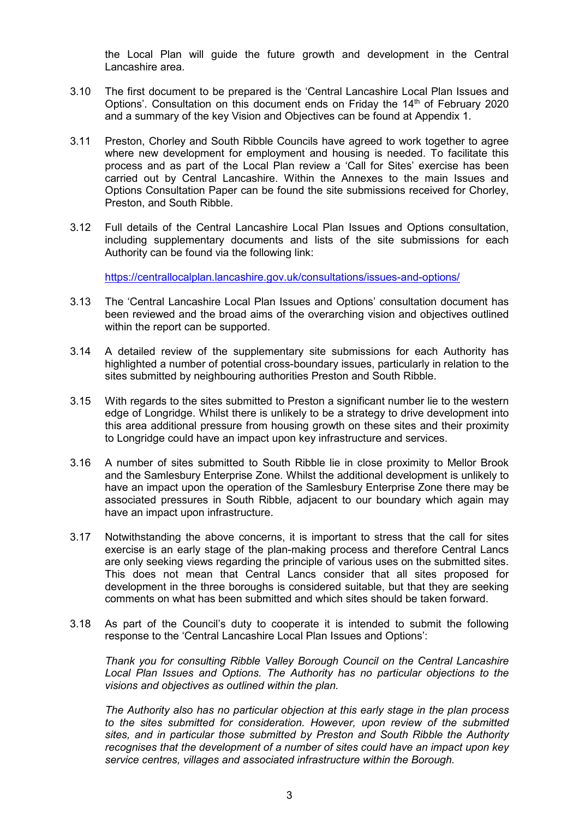the Local Plan will guide the future growth and development in the Central Lancashire area.

- 3.10 The first document to be prepared is the 'Central Lancashire Local Plan Issues and Options'. Consultation on this document ends on Friday the 14<sup>th</sup> of February 2020 and a summary of the key Vision and Objectives can be found at Appendix 1.
- 3.11 Preston, Chorley and South Ribble Councils have agreed to work together to agree where new development for employment and housing is needed. To facilitate this process and as part of the Local Plan review a 'Call for Sites' exercise has been carried out by Central Lancashire. Within the Annexes to the main Issues and Options Consultation Paper can be found the site submissions received for Chorley, Preston, and South Ribble.
- 3.12 Full details of the Central Lancashire Local Plan Issues and Options consultation, including supplementary documents and lists of the site submissions for each Authority can be found via the following link:

<https://centrallocalplan.lancashire.gov.uk/consultations/issues-and-options/>

- 3.13 The 'Central Lancashire Local Plan Issues and Options' consultation document has been reviewed and the broad aims of the overarching vision and objectives outlined within the report can be supported.
- 3.14 A detailed review of the supplementary site submissions for each Authority has highlighted a number of potential cross-boundary issues, particularly in relation to the sites submitted by neighbouring authorities Preston and South Ribble.
- 3.15 With regards to the sites submitted to Preston a significant number lie to the western edge of Longridge. Whilst there is unlikely to be a strategy to drive development into this area additional pressure from housing growth on these sites and their proximity to Longridge could have an impact upon key infrastructure and services.
- 3.16 A number of sites submitted to South Ribble lie in close proximity to Mellor Brook and the Samlesbury Enterprise Zone. Whilst the additional development is unlikely to have an impact upon the operation of the Samlesbury Enterprise Zone there may be associated pressures in South Ribble, adjacent to our boundary which again may have an impact upon infrastructure.
- 3.17 Notwithstanding the above concerns, it is important to stress that the call for sites exercise is an early stage of the plan-making process and therefore Central Lancs are only seeking views regarding the principle of various uses on the submitted sites. This does not mean that Central Lancs consider that all sites proposed for development in the three boroughs is considered suitable, but that they are seeking comments on what has been submitted and which sites should be taken forward.
- 3.18 As part of the Council's duty to cooperate it is intended to submit the following response to the 'Central Lancashire Local Plan Issues and Options':

*Thank you for consulting Ribble Valley Borough Council on the Central Lancashire Local Plan Issues and Options. The Authority has no particular objections to the visions and objectives as outlined within the plan.*

*The Authority also has no particular objection at this early stage in the plan process to the sites submitted for consideration. However, upon review of the submitted sites, and in particular those submitted by Preston and South Ribble the Authority recognises that the development of a number of sites could have an impact upon key service centres, villages and associated infrastructure within the Borough.*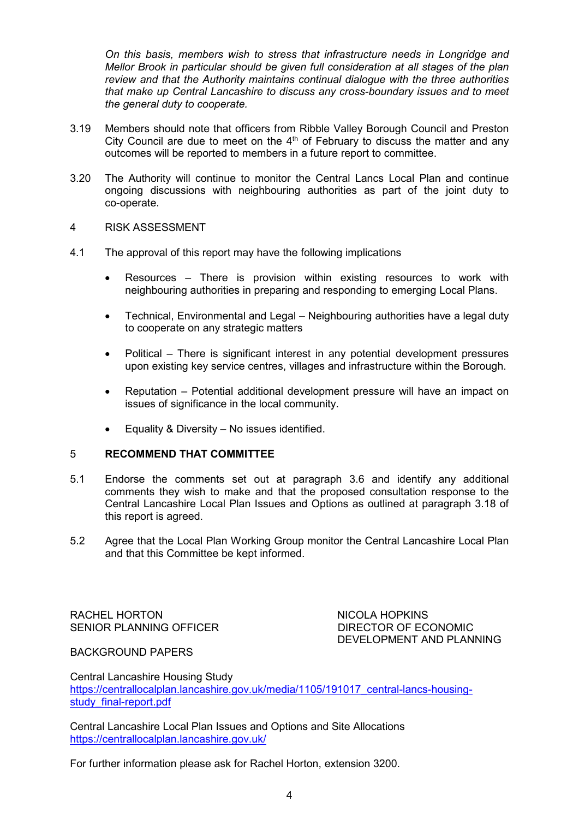*On this basis, members wish to stress that infrastructure needs in Longridge and Mellor Brook in particular should be given full consideration at all stages of the plan review and that the Authority maintains continual dialogue with the three authorities that make up Central Lancashire to discuss any cross-boundary issues and to meet the general duty to cooperate.*

- 3.19 Members should note that officers from Ribble Valley Borough Council and Preston City Council are due to meet on the  $4<sup>th</sup>$  of February to discuss the matter and any outcomes will be reported to members in a future report to committee.
- 3.20 The Authority will continue to monitor the Central Lancs Local Plan and continue ongoing discussions with neighbouring authorities as part of the joint duty to co-operate.
- 4 RISK ASSESSMENT
- 4.1 The approval of this report may have the following implications
	- Resources There is provision within existing resources to work with neighbouring authorities in preparing and responding to emerging Local Plans.
	- Technical, Environmental and Legal Neighbouring authorities have a legal duty to cooperate on any strategic matters
	- Political There is significant interest in any potential development pressures upon existing key service centres, villages and infrastructure within the Borough.
	- Reputation Potential additional development pressure will have an impact on issues of significance in the local community.
	- Equality & Diversity No issues identified.

### 5 **RECOMMEND THAT COMMITTEE**

- 5.1 Endorse the comments set out at paragraph 3.6 and identify any additional comments they wish to make and that the proposed consultation response to the Central Lancashire Local Plan Issues and Options as outlined at paragraph 3.18 of this report is agreed.
- 5.2 Agree that the Local Plan Working Group monitor the Central Lancashire Local Plan and that this Committee be kept informed.

RACHEL HORTON NICOLA HOPKINS SENIOR PLANNING OFFICER DIRECTOR OF ECONOMIC

DEVELOPMENT AND PLANNING

BACKGROUND PAPERS

Central Lancashire Housing Study [https://centrallocalplan.lancashire.gov.uk/media/1105/191017\\_central-lancs-housing](https://centrallocalplan.lancashire.gov.uk/media/1105/191017_central-lancs-housing-study_final-report.pdf)study final-report.pdf

Central Lancashire Local Plan Issues and Options and Site Allocations <https://centrallocalplan.lancashire.gov.uk/>

For further information please ask for Rachel Horton, extension 3200.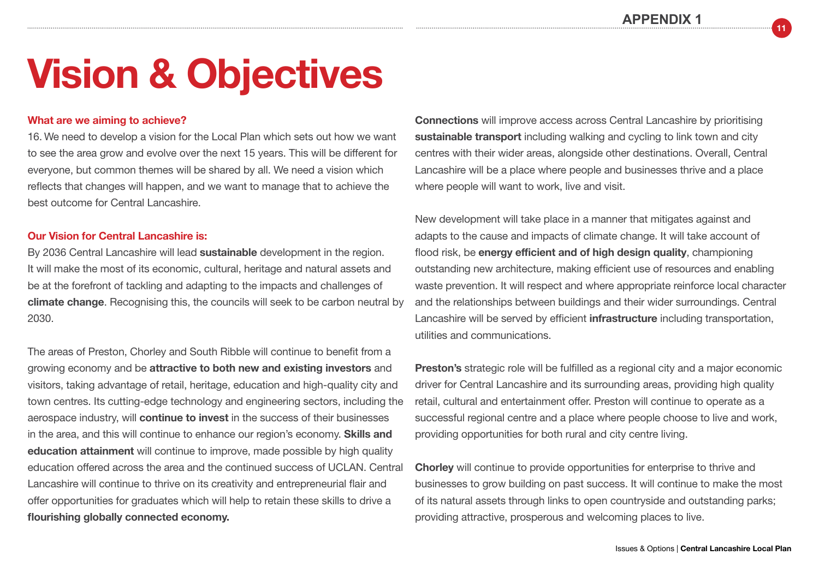**APPENDIX 1**

**11**

## **Vision & Objectives**

### **What are we aiming to achieve?**

16. We need to develop a vision for the Local Plan which sets out how we want to see the area grow and evolve over the next 15 years. This will be different for everyone, but common themes will be shared by all. We need a vision which reflects that changes will happen, and we want to manage that to achieve the best outcome for Central Lancashire.

#### **Our Vision for Central Lancashire is:**

By 2036 Central Lancashire will lead **sustainable** development in the region. It will make the most of its economic, cultural, heritage and natural assets and be at the forefront of tackling and adapting to the impacts and challenges of **climate change**. Recognising this, the councils will seek to be carbon neutral by 2030.

The areas of Preston, Chorley and South Ribble will continue to benefit from a growing economy and be **attractive to both new and existing investors** and visitors, taking advantage of retail, heritage, education and high-quality city and town centres. Its cutting-edge technology and engineering sectors, including the aerospace industry, will **continue to invest** in the success of their businesses in the area, and this will continue to enhance our region's economy. **Skills and education attainment** will continue to improve, made possible by high quality education offered across the area and the continued success of UCLAN. Central Lancashire will continue to thrive on its creativity and entrepreneurial flair and offer opportunities for graduates which will help to retain these skills to drive a **flourishing globally connected economy.**

**Connections** will improve access across Central Lancashire by prioritising **sustainable transport** including walking and cycling to link town and city centres with their wider areas, alongside other destinations. Overall, Central Lancashire will be a place where people and businesses thrive and a place where people will want to work, live and visit.

New development will take place in a manner that mitigates against and adapts to the cause and impacts of climate change. It will take account of flood risk, be **energy efficient and of high design quality**, championing outstanding new architecture, making efficient use of resources and enabling waste prevention. It will respect and where appropriate reinforce local character and the relationships between buildings and their wider surroundings. Central Lancashire will be served by efficient **infrastructure** including transportation, utilities and communications.

**Preston's** strategic role will be fulfilled as a regional city and a major economic driver for Central Lancashire and its surrounding areas, providing high quality retail, cultural and entertainment offer. Preston will continue to operate as a successful regional centre and a place where people choose to live and work, providing opportunities for both rural and city centre living.

**Chorley** will continue to provide opportunities for enterprise to thrive and businesses to grow building on past success. It will continue to make the most of its natural assets through links to open countryside and outstanding parks; providing attractive, prosperous and welcoming places to live.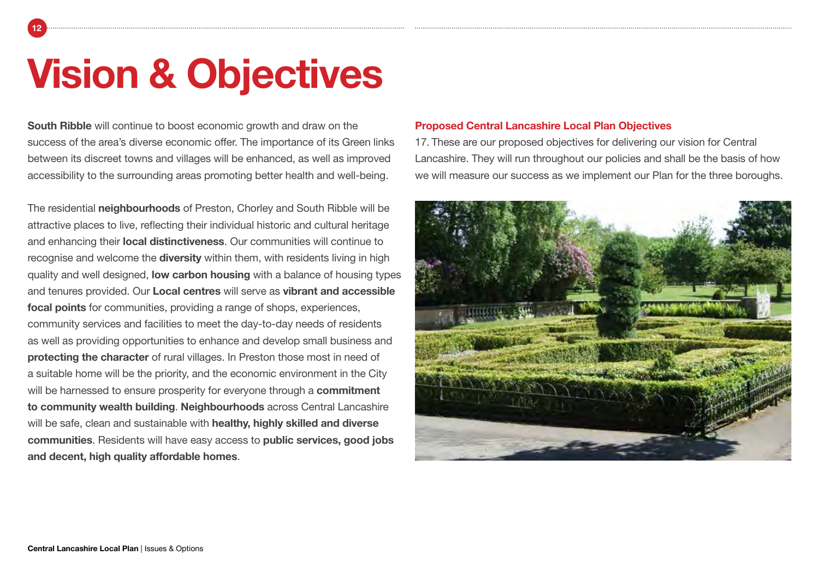# **Vision & Objectives**

**12**

**South Ribble** will continue to boost economic growth and draw on the success of the area's diverse economic offer. The importance of its Green links between its discreet towns and villages will be enhanced, as well as improved accessibility to the surrounding areas promoting better health and well-being.

The residential **neighbourhoods** of Preston, Chorley and South Ribble will be attractive places to live, reflecting their individual historic and cultural heritage and enhancing their **local distinctiveness**. Our communities will continue to recognise and welcome the **diversity** within them, with residents living in high quality and well designed, **low carbon housing** with a balance of housing types and tenures provided. Our **Local centres** will serve as **vibrant and accessible focal points** for communities, providing a range of shops, experiences, community services and facilities to meet the day-to-day needs of residents as well as providing opportunities to enhance and develop small business and **protecting the character** of rural villages. In Preston those most in need of a suitable home will be the priority, and the economic environment in the City will be harnessed to ensure prosperity for everyone through a **commitment to community wealth building**. **Neighbourhoods** across Central Lancashire will be safe, clean and sustainable with **healthy, highly skilled and diverse communities**. Residents will have easy access to **public services, good jobs and decent, high quality affordable homes**.

### **Proposed Central Lancashire Local Plan Objectives**

17. These are our proposed objectives for delivering our vision for Central Lancashire. They will run throughout our policies and shall be the basis of how we will measure our success as we implement our Plan for the three boroughs.